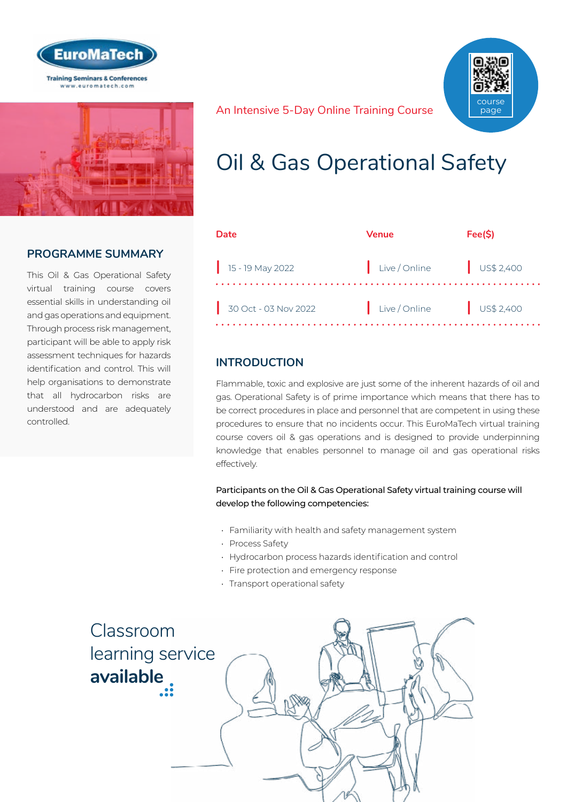



## **PROGRAMME SUMMARY**

This Oil & Gas Operational Safety virtual training course covers essential skills in understanding oil and gas operations and equipment. Through process risk management, participant will be able to apply risk assessment techniques for hazards identification and control. This will help organisations to demonstrate that all hydrocarbon risks are understood and are adequately controlled.

An Intensive 5-Day Online Training Course course page

## Oil & Gas Operational Safety

| Date                         | Venue                    | Fee(S) |
|------------------------------|--------------------------|--------|
| $\frac{1}{15}$ - 19 May 2022 | Live/Online US\$ 2,400   |        |
| $30$ Oct - 03 Nov 2022       | Live / Online US\$ 2,400 |        |

## **INTRODUCTION**

Flammable, toxic and explosive are just some of the inherent hazards of oil and gas. Operational Safety is of prime importance which means that there has to be correct procedures in place and personnel that are competent in using these procedures to ensure that no incidents occur. This EuroMaTech virtual training course covers oil & gas operations and is designed to provide underpinning knowledge that enables personnel to manage oil and gas operational risks effectively.

Participants on the Oil & Gas Operational Safety virtual training course will develop the following competencies:

- Familiarity with health and safety management system
- Process Safety
- Hydrocarbon process hazards identification and control
- Fire protection and emergency response
- Transport operational safety

Classroom [learning service](https://www.euromatech.com/seminars/oil-gas-operational-safety-3/)  **available**

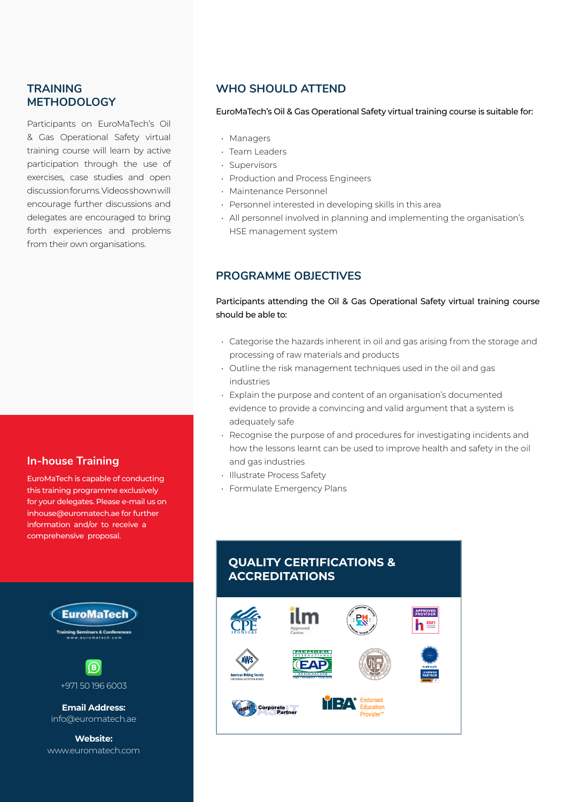### **TRAINING METHODOLOGY**

Participants on EuroMaTech's Oil & Gas Operational Safety virtual training course will learn by active participation through the use of exercises, case studies and open discussion forums. Videos shown will encourage further discussions and delegates are encouraged to bring forth experiences and problems from their own organisations.

#### **In-house Training**

EuroMaTech is capable of conducting this training programme exclusively for your delegates. Please e-mail us on inhouse@euromatech.ae for further information and/or to receive a comprehensive proposal.



**Email Address:** info@euromatech.ae

**Website:** www.euromatech.com

#### **WHO SHOULD ATTEND**

#### EuroMaTech's Oil & Gas Operational Safety virtual training course is suitable for:

- Managers
- Team Leaders
- Supervisors
- Production and Process Engineers
- Maintenance Personnel
- Personnel interested in developing skills in this area
- All personnel involved in planning and implementing the organisation's HSE management system

#### **PROGRAMME OBJECTIVES**

#### Participants attending the Oil & Gas Operational Safety virtual training course should be able to:

- Categorise the hazards inherent in oil and gas arising from the storage and processing of raw materials and products
- Outline the risk management techniques used in the oil and gas industries
- Explain the purpose and content of an organisation's documented evidence to provide a convincing and valid argument that a system is adequately safe
- Recognise the purpose of and procedures for investigating incidents and how the lessons learnt can be used to improve health and safety in the oil and gas industries
- Illustrate Process Safety
- Formulate Emergency Plans

### **QUALITY CERTIFICATIONS & ACCREDITATIONS**

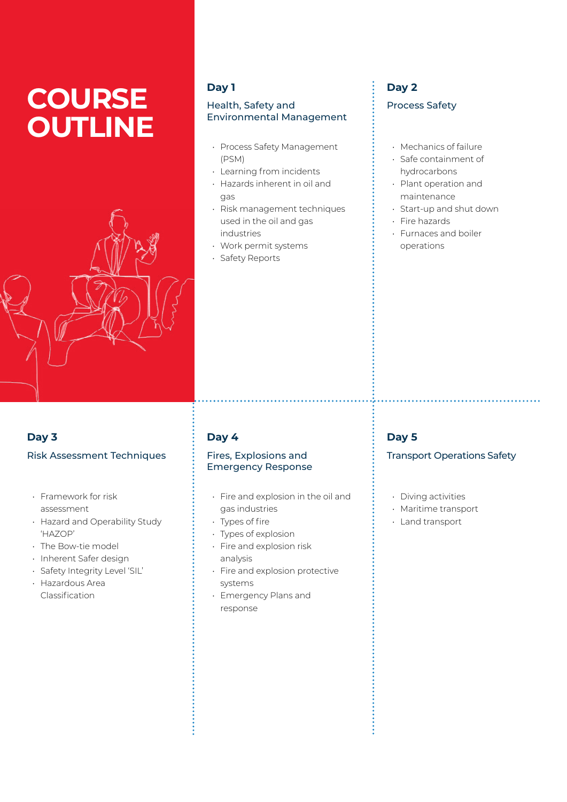# **COURSE OUTLINE**



### **Day 1**

#### Health, Safety and Environmental Management

- Process Safety Management (PSM)
- Learning from incidents
- Hazards inherent in oil and gas
- Risk management techniques used in the oil and gas industries
- Work permit systems
- Safety Reports

## **Day 2** Process Safety

- Mechanics of failure
- Safe containment of hydrocarbons
- Plant operation and maintenance
- Start-up and shut down
- Fire hazards
- Furnaces and boiler operations

## **Day 3**

## Risk Assessment Techniques

- Framework for risk assessment
- Hazard and Operability Study 'HAZOP'
- The Bow-tie model
- Inherent Safer design
- Safety Integrity Level 'SIL'
- Hazardous Area Classification

## **Day 4**

#### Fires, Explosions and Emergency Response

- Fire and explosion in the oil and gas industries
- Types of fire
- Types of explosion
- Fire and explosion risk analysis
- Fire and explosion protective systems
- Emergency Plans and response

## **Day 5**

#### Transport Operations Safety

- Diving activities
- Maritime transport
- Land transport